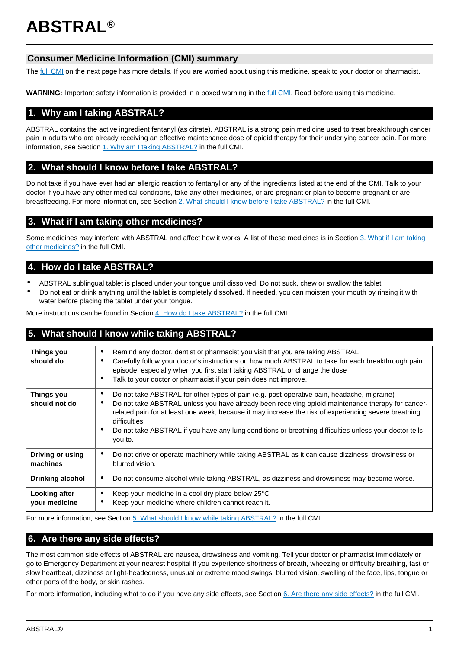# **ABSTRAL®**

# **Consumer Medicine Information (CMI) summary**

The [full CMI](#page-1-0) on the next page has more details. If you are worried about using this medicine, speak to your doctor or pharmacist.

**WARNING:** Important safety information is provided in a boxed warning in the [full CMI](#page-1-0). Read before using this medicine.

# **1. Why am I taking ABSTRAL?**

ABSTRAL contains the active ingredient fentanyl (as citrate). ABSTRAL is a strong pain medicine used to treat breakthrough cancer pain in adults who are already receiving an effective maintenance dose of opioid therapy for their underlying cancer pain. For more information, see Section [1. Why am I taking ABSTRAL?](#page-1-1) in the full CMI.

# **2. What should I know before I take ABSTRAL?**

Do not take if you have ever had an allergic reaction to fentanyl or any of the ingredients listed at the end of the CMI. Talk to your doctor if you have any other medical conditions, take any other medicines, or are pregnant or plan to become pregnant or are breastfeeding. For more information, see Section [2. What should I know before I take ABSTRAL?](#page-1-2) in the full CMI.

# **3. What if I am taking other medicines?**

Some medicines may interfere with ABSTRAL and affect how it works. A list of these medicines is in Section [3. What if I am taking](#page-2-0) [other medicines?](#page-2-0) in the full CMI.

# **4. How do I take ABSTRAL?**

- ABSTRAL sublingual tablet is placed under your tongue until dissolved. Do not suck, chew or swallow the tablet
- Do not eat or drink anything until the tablet is completely dissolved. If needed, you can moisten your mouth by rinsing it with water before placing the tablet under your tongue.

More instructions can be found in Section [4. How do I take ABSTRAL?](#page-2-1) in the full CMI.

# **5. What should I know while taking ABSTRAL?**

| <b>Things you</b><br>should do     | Remind any doctor, dentist or pharmacist you visit that you are taking ABSTRAL<br>Carefully follow your doctor's instructions on how much ABSTRAL to take for each breakthrough pain<br>episode, especially when you first start taking ABSTRAL or change the dose<br>Talk to your doctor or pharmacist if your pain does not improve.<br>٠                                                                                                                             |
|------------------------------------|-------------------------------------------------------------------------------------------------------------------------------------------------------------------------------------------------------------------------------------------------------------------------------------------------------------------------------------------------------------------------------------------------------------------------------------------------------------------------|
| <b>Things you</b><br>should not do | Do not take ABSTRAL for other types of pain (e.g. post-operative pain, headache, migraine)<br>$\bullet$<br>Do not take ABSTRAL unless you have already been receiving opioid maintenance therapy for cancer-<br>$\bullet$<br>related pain for at least one week, because it may increase the risk of experiencing severe breathing<br>difficulties<br>Do not take ABSTRAL if you have any lung conditions or breathing difficulties unless your doctor tells<br>you to. |
| Driving or using<br>machines       | Do not drive or operate machinery while taking ABSTRAL as it can cause dizziness, drowsiness or<br>$\bullet$<br>blurred vision.                                                                                                                                                                                                                                                                                                                                         |
| <b>Drinking alcohol</b>            | Do not consume alcohol while taking ABSTRAL, as dizziness and drowsiness may become worse.<br>$\bullet$                                                                                                                                                                                                                                                                                                                                                                 |
| Looking after<br>your medicine     | Keep your medicine in a cool dry place below 25°C<br>Keep your medicine where children cannot reach it.                                                                                                                                                                                                                                                                                                                                                                 |

For more information, see Section [5. What should I know while taking ABSTRAL?](#page-3-0) in the full CMI.

# **6. Are there any side effects?**

The most common side effects of ABSTRAL are nausea, drowsiness and vomiting. Tell your doctor or pharmacist immediately or go to Emergency Department at your nearest hospital if you experience shortness of breath, wheezing or difficulty breathing, fast or slow heartbeat, dizziness or light-headedness, unusual or extreme mood swings, blurred vision, swelling of the face, lips, tongue or other parts of the body, or skin rashes.

For more information, including what to do if you have any side effects, see Section [6. Are there any side effects?](#page-4-0) in the full CMI.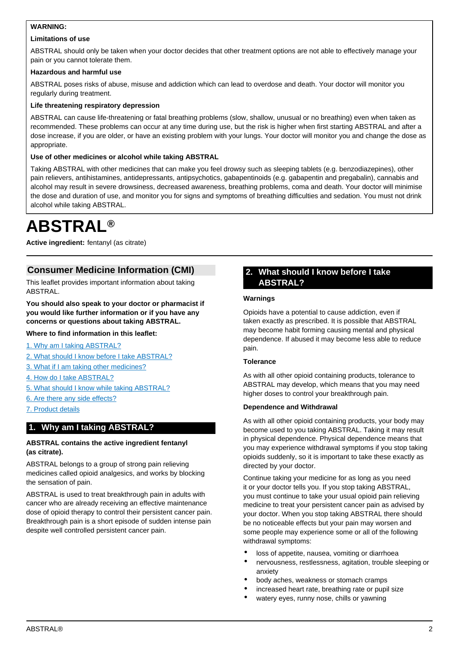## <span id="page-1-0"></span>**WARNING:**

### **Limitations of use**

ABSTRAL should only be taken when your doctor decides that other treatment options are not able to effectively manage your pain or you cannot tolerate them.

#### **Hazardous and harmful use**

ABSTRAL poses risks of abuse, misuse and addiction which can lead to overdose and death. Your doctor will monitor you regularly during treatment.

#### **Life threatening respiratory depression**

ABSTRAL can cause life-threatening or fatal breathing problems (slow, shallow, unusual or no breathing) even when taken as recommended. These problems can occur at any time during use, but the risk is higher when first starting ABSTRAL and after a dose increase, if you are older, or have an existing problem with your lungs. Your doctor will monitor you and change the dose as appropriate.

#### **Use of other medicines or alcohol while taking ABSTRAL**

Taking ABSTRAL with other medicines that can make you feel drowsy such as sleeping tablets (e.g. benzodiazepines), other pain relievers, antihistamines, antidepressants, antipsychotics, gabapentinoids (e.g. gabapentin and pregabalin), cannabis and alcohol may result in severe drowsiness, decreased awareness, breathing problems, coma and death. Your doctor will minimise the dose and duration of use, and monitor you for signs and symptoms of breathing difficulties and sedation. You must not drink alcohol while taking ABSTRAL.

# **ABSTRAL®**

**Active ingredient:** fentanyl (as citrate)

# **Consumer Medicine Information (CMI)**

This leaflet provides important information about taking ABSTRAL.

## **You should also speak to your doctor or pharmacist if you would like further information or if you have any concerns or questions about taking ABSTRAL.**

## **Where to find information in this leaflet:**

[1. Why am I taking ABSTRAL?](#page-1-1)

- [2. What should I know before I take ABSTRAL?](#page-1-2)
- [3. What if I am taking other medicines?](#page-2-0)
- [4. How do I take ABSTRAL?](#page-2-1)
- [5. What should I know while taking ABSTRAL?](#page-3-0)
- [6. Are there any side effects?](#page-4-0)
- [7. Product details](#page-5-0)

# <span id="page-1-1"></span>**1. Why am I taking ABSTRAL?**

#### **ABSTRAL contains the active ingredient fentanyl (as citrate).**

ABSTRAL belongs to a group of strong pain relieving medicines called opioid analgesics, and works by blocking the sensation of pain.

<span id="page-1-2"></span>ABSTRAL is used to treat breakthrough pain in adults with cancer who are already receiving an effective maintenance dose of opioid therapy to control their persistent cancer pain. Breakthrough pain is a short episode of sudden intense pain despite well controlled persistent cancer pain.

## **2. What should I know before I take ABSTRAL?**

#### **Warnings**

Opioids have a potential to cause addiction, even if taken exactly as prescribed. It is possible that ABSTRAL may become habit forming causing mental and physical dependence. If abused it may become less able to reduce pain.

#### **Tolerance**

As with all other opioid containing products, tolerance to ABSTRAL may develop, which means that you may need higher doses to control your breakthrough pain.

#### **Dependence and Withdrawal**

As with all other opioid containing products, your body may become used to you taking ABSTRAL. Taking it may result in physical dependence. Physical dependence means that you may experience withdrawal symptoms if you stop taking opioids suddenly, so it is important to take these exactly as directed by your doctor.

Continue taking your medicine for as long as you need it or your doctor tells you. If you stop taking ABSTRAL, you must continue to take your usual opioid pain relieving medicine to treat your persistent cancer pain as advised by your doctor. When you stop taking ABSTRAL there should be no noticeable effects but your pain may worsen and some people may experience some or all of the following withdrawal symptoms:

- loss of appetite, nausea, vomiting or diarrhoea
- nervousness, restlessness, agitation, trouble sleeping or anxiety
- body aches, weakness or stomach cramps
- increased heart rate, breathing rate or pupil size
- watery eyes, runny nose, chills or yawning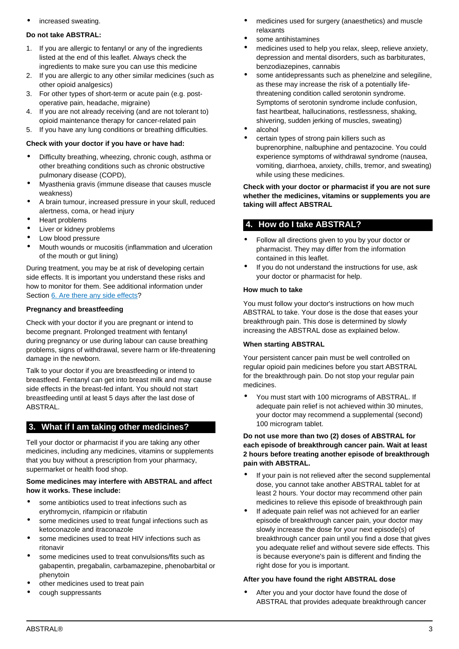increased sweating

#### **Do not take ABSTRAL:**

- 1. If you are allergic to fentanyl or any of the ingredients listed at the end of this leaflet. Always check the ingredients to make sure you can use this medicine
- 2. If you are allergic to any other similar medicines (such as other opioid analgesics)
- 3. For other types of short-term or acute pain (e.g. postoperative pain, headache, migraine)
- 4. If you are not already receiving (and are not tolerant to) opioid maintenance therapy for cancer-related pain
- 5. If you have any lung conditions or breathing difficulties.

#### **Check with your doctor if you have or have had:**

- Difficulty breathing, wheezing, chronic cough, asthma or other breathing conditions such as chronic obstructive pulmonary disease (COPD),
- Myasthenia gravis (immune disease that causes muscle weakness)
- A brain tumour, increased pressure in your skull, reduced alertness, coma, or head injury
- Heart problems
- Liver or kidney problems
- Low blood pressure
- Mouth wounds or mucositis (inflammation and ulceration of the mouth or gut lining)

During treatment, you may be at risk of developing certain side effects. It is important you understand these risks and how to monitor for them. See additional information under Section [6. Are there any side effects?](#page-4-0)

#### **Pregnancy and breastfeeding**

Check with your doctor if you are pregnant or intend to become pregnant. Prolonged treatment with fentanyl during pregnancy or use during labour can cause breathing problems, signs of withdrawal, severe harm or life-threatening damage in the newborn.

Talk to your doctor if you are breastfeeding or intend to breastfeed. Fentanyl can get into breast milk and may cause side effects in the breast-fed infant. You should not start breastfeeding until at least 5 days after the last dose of ABSTRAL.

## <span id="page-2-0"></span>**3. What if I am taking other medicines?**

Tell your doctor or pharmacist if you are taking any other medicines, including any medicines, vitamins or supplements that you buy without a prescription from your pharmacy, supermarket or health food shop.

#### **Some medicines may interfere with ABSTRAL and affect how it works. These include:**

- some antibiotics used to treat infections such as erythromycin, rifampicin or rifabutin
- some medicines used to treat fungal infections such as ketoconazole and itraconazole
- some medicines used to treat HIV infections such as ritonavir
- some medicines used to treat convulsions/fits such as gabapentin, pregabalin, carbamazepine, phenobarbital or phenytoin
- other medicines used to treat pain
- cough suppressants
- medicines used for surgery (anaesthetics) and muscle relaxants
- some antihistamines
- medicines used to help you relax, sleep, relieve anxiety, depression and mental disorders, such as barbiturates, benzodiazepines, cannabis
- some antidepressants such as phenelzine and selegiline, as these may increase the risk of a potentially lifethreatening condition called serotonin syndrome. Symptoms of serotonin syndrome include confusion, fast heartbeat, hallucinations, restlessness, shaking, shivering, sudden jerking of muscles, sweating)
- alcohol
- certain types of strong pain killers such as buprenorphine, nalbuphine and pentazocine. You could experience symptoms of withdrawal syndrome (nausea, vomiting, diarrhoea, anxiety, chills, tremor, and sweating) while using these medicines.

**Check with your doctor or pharmacist if you are not sure whether the medicines, vitamins or supplements you are taking will affect ABSTRAL**

## <span id="page-2-1"></span>**4. How do I take ABSTRAL?**

- Follow all directions given to you by your doctor or pharmacist. They may differ from the information contained in this leaflet.
- If you do not understand the instructions for use, ask your doctor or pharmacist for help.

#### **How much to take**

You must follow your doctor's instructions on how much ABSTRAL to take. Your dose is the dose that eases your breakthrough pain. This dose is determined by slowly increasing the ABSTRAL dose as explained below.

#### **When starting ABSTRAL**

Your persistent cancer pain must be well controlled on regular opioid pain medicines before you start ABSTRAL for the breakthrough pain. Do not stop your regular pain medicines.

• You must start with 100 micrograms of ABSTRAL. If adequate pain relief is not achieved within 30 minutes, your doctor may recommend a supplemental (second) 100 microgram tablet.

#### **Do not use more than two (2) doses of ABSTRAL for each episode of breakthrough cancer pain. Wait at least 2 hours before treating another episode of breakthrough pain with ABSTRAL.**

- If your pain is not relieved after the second supplemental dose, you cannot take another ABSTRAL tablet for at least 2 hours. Your doctor may recommend other pain medicines to relieve this episode of breakthrough pain
- If adequate pain relief was not achieved for an earlier episode of breakthrough cancer pain, your doctor may slowly increase the dose for your next episode(s) of breakthrough cancer pain until you find a dose that gives you adequate relief and without severe side effects. This is because everyone's pain is different and finding the right dose for you is important.

#### **After you have found the right ABSTRAL dose**

After you and your doctor have found the dose of ABSTRAL that provides adequate breakthrough cancer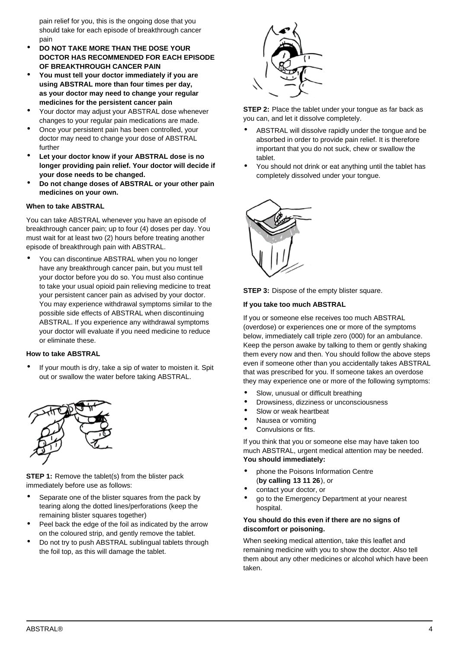pain relief for you, this is the ongoing dose that you should take for each episode of breakthrough cancer pain

- **DO NOT TAKE MORE THAN THE DOSE YOUR DOCTOR HAS RECOMMENDED FOR EACH EPISODE OF BREAKTHROUGH CANCER PAIN**
- **You must tell your doctor immediately if you are using ABSTRAL more than four times per day, as your doctor may need to change your regular medicines for the persistent cancer pain**
- Your doctor may adjust your ABSTRAL dose whenever changes to your regular pain medications are made.
- Once your persistent pain has been controlled, your doctor may need to change your dose of ABSTRAL further
- **Let your doctor know if your ABSTRAL dose is no longer providing pain relief. Your doctor will decide if your dose needs to be changed.**
- **Do not change doses of ABSTRAL or your other pain medicines on your own.**

### **When to take ABSTRAL**

You can take ABSTRAL whenever you have an episode of breakthrough cancer pain; up to four (4) doses per day. You must wait for at least two (2) hours before treating another episode of breakthrough pain with ABSTRAL.

• You can discontinue ABSTRAL when you no longer have any breakthrough cancer pain, but you must tell your doctor before you do so. You must also continue to take your usual opioid pain relieving medicine to treat your persistent cancer pain as advised by your doctor. You may experience withdrawal symptoms similar to the possible side effects of ABSTRAL when discontinuing ABSTRAL. If you experience any withdrawal symptoms your doctor will evaluate if you need medicine to reduce or eliminate these.

### **How to take ABSTRAL**

If your mouth is dry, take a sip of water to moisten it. Spit out or swallow the water before taking ABSTRAL.



**STEP 1:** Remove the tablet(s) from the blister pack immediately before use as follows:

- Separate one of the blister squares from the pack by tearing along the dotted lines/perforations (keep the remaining blister squares together)
- Peel back the edge of the foil as indicated by the arrow on the coloured strip, and gently remove the tablet.
- Do not try to push ABSTRAL sublingual tablets through the foil top, as this will damage the tablet.



**STEP 2:** Place the tablet under your tongue as far back as you can, and let it dissolve completely.

- ABSTRAL will dissolve rapidly under the tongue and be absorbed in order to provide pain relief. It is therefore important that you do not suck, chew or swallow the tablet.
- You should not drink or eat anything until the tablet has completely dissolved under your tongue.





#### **If you take too much ABSTRAL**

If you or someone else receives too much ABSTRAL (overdose) or experiences one or more of the symptoms below, immediately call triple zero (000) for an ambulance. Keep the person awake by talking to them or gently shaking them every now and then. You should follow the above steps even if someone other than you accidentally takes ABSTRAL that was prescribed for you. If someone takes an overdose they may experience one or more of the following symptoms:

- Slow, unusual or difficult breathing
- Drowsiness, dizziness or unconsciousness
- Slow or weak heartbeat
- Nausea or vomiting
- Convulsions or fits.

If you think that you or someone else may have taken too much ABSTRAL, urgent medical attention may be needed. **You should immediately:**

- phone the Poisons Information Centre (**by calling 13 11 26**), or
- contact your doctor, or
- go to the Emergency Department at your nearest hospital.

#### **You should do this even if there are no signs of discomfort or poisoning.**

<span id="page-3-0"></span>When seeking medical attention, take this leaflet and remaining medicine with you to show the doctor. Also tell them about any other medicines or alcohol which have been taken.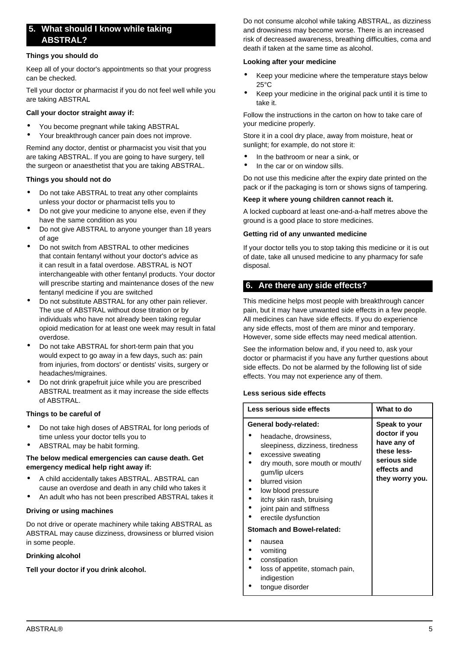# **5. What should I know while taking ABSTRAL?**

#### **Things you should do**

Keep all of your doctor's appointments so that your progress can be checked.

Tell your doctor or pharmacist if you do not feel well while you are taking ABSTRAL

#### **Call your doctor straight away if:**

- You become pregnant while taking ABSTRAL
- Your breakthrough cancer pain does not improve.

Remind any doctor, dentist or pharmacist you visit that you are taking ABSTRAL. If you are going to have surgery, tell the surgeon or anaesthetist that you are taking ABSTRAL.

#### **Things you should not do**

- Do not take ABSTRAL to treat any other complaints unless your doctor or pharmacist tells you to
- Do not give your medicine to anyone else, even if they have the same condition as you
- Do not give ABSTRAL to anyone younger than 18 years of age
- Do not switch from ABSTRAL to other medicines that contain fentanyl without your doctor's advice as it can result in a fatal overdose. ABSTRAL is NOT interchangeable with other fentanyl products. Your doctor will prescribe starting and maintenance doses of the new fentanyl medicine if you are switched
- Do not substitute ABSTRAL for any other pain reliever. The use of ABSTRAL without dose titration or by individuals who have not already been taking regular opioid medication for at least one week may result in fatal overdose.
- Do not take ABSTRAL for short-term pain that you would expect to go away in a few days, such as: pain from injuries, from doctors' or dentists' visits, surgery or headaches/migraines.
- Do not drink grapefruit juice while you are prescribed ABSTRAL treatment as it may increase the side effects of ABSTRAL.

#### **Things to be careful of**

- Do not take high doses of ABSTRAL for long periods of time unless your doctor tells you to
- ABSTRAL may be habit forming.

#### **The below medical emergencies can cause death. Get emergency medical help right away if:**

- A child accidentally takes ABSTRAL. ABSTRAL can cause an overdose and death in any child who takes it
- An adult who has not been prescribed ABSTRAL takes it

#### **Driving or using machines**

Do not drive or operate machinery while taking ABSTRAL as ABSTRAL may cause dizziness, drowsiness or blurred vision in some people.

#### **Drinking alcohol**

#### **Tell your doctor if you drink alcohol.**

Do not consume alcohol while taking ABSTRAL, as dizziness and drowsiness may become worse. There is an increased risk of decreased awareness, breathing difficulties, coma and death if taken at the same time as alcohol.

#### **Looking after your medicine**

- Keep your medicine where the temperature stays below 25°C
- Keep your medicine in the original pack until it is time to take it.

Follow the instructions in the carton on how to take care of your medicine properly.

Store it in a cool dry place, away from moisture, heat or sunlight; for example, do not store it:

- In the bathroom or near a sink, or
- In the car or on window sills.

Do not use this medicine after the expiry date printed on the pack or if the packaging is torn or shows signs of tampering.

#### **Keep it where young children cannot reach it.**

A locked cupboard at least one-and-a-half metres above the ground is a good place to store medicines.

#### **Getting rid of any unwanted medicine**

If your doctor tells you to stop taking this medicine or it is out of date, take all unused medicine to any pharmacy for safe disposal.

## <span id="page-4-0"></span>**6. Are there any side effects?**

This medicine helps most people with breakthrough cancer pain, but it may have unwanted side effects in a few people. All medicines can have side effects. If you do experience any side effects, most of them are minor and temporary. However, some side effects may need medical attention.

See the information below and, if you need to, ask your doctor or pharmacist if you have any further questions about side effects. Do not be alarmed by the following list of side effects. You may not experience any of them.

#### **Less serious side effects**

| Less serious side effects                                                                                                                                                                                                          | What to do                                                                                                     |
|------------------------------------------------------------------------------------------------------------------------------------------------------------------------------------------------------------------------------------|----------------------------------------------------------------------------------------------------------------|
| General body-related:<br>headache, drowsiness,<br>sleepiness, dizziness, tiredness<br>excessive sweating<br>dry mouth, sore mouth or mouth/<br>gum/lip ulcers<br>blurred vision<br>low blood pressure<br>itchy skin rash, bruising | Speak to your<br>doctor if you<br>have any of<br>these less-<br>serious side<br>effects and<br>they worry you. |
| joint pain and stiffness<br>erectile dysfunction<br><b>Stomach and Bowel-related:</b>                                                                                                                                              |                                                                                                                |
| nausea<br>vomiting<br>constipation<br>loss of appetite, stomach pain,<br>indigestion<br>tonque disorder                                                                                                                            |                                                                                                                |